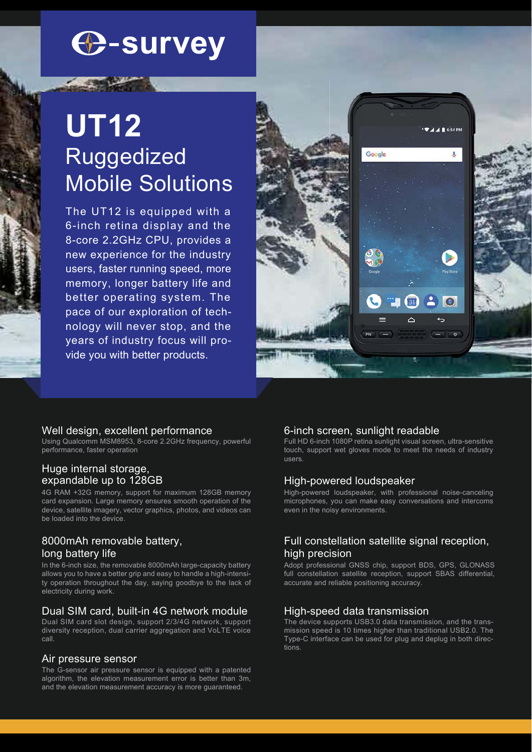# **C-survey**

## **UT12** Ruggedized Mobile Solutions

The UT12 is equipped with a 6-inch retina display and the 8-core 2.2GHz CPU, provides a new experience for the industry users, faster running speed, more memory, longer battery life and better operating system. The pace of our exploration of technology will never stop, and the years of industry focus will provide you with better products.



## Well design, excellent performance

Using Qualcomm MSM8953, 8-core 2.2GHz frequency, powerful performance, faster operation

## Huge internal storage, expandable up to 128GB

4G RAM +32G memory, support for maximum 128GB memory card expansion. Large memory ensures smooth operation of the device, satellite imagery, vector graphics, photos, and videos can be loaded into the device.

## 8000mAh removable battery, long battery life

In the 6-inch size, the removable 8000mAh large-capacity battery allows you to have a better grip and easy to handle a high-intensity operation throughout the day, saying goodbye to the lack of electricity during work.

## Dual SIM card, built-in 4G network module

Dual SIM card slot design, support 2/3/4G network, support diversity reception, dual carrier aggregation and VoLTE voice call.

#### Air pressure sensor

The G-sensor air pressure sensor is equipped with a patented algorithm, the elevation measurement error is better than 3m, and the elevation measurement accuracy is more guaranteed.

## 6-inch screen, sunlight readable

Full HD 6-inch 1080P retina sunlight visual screen, ultra-sensitive touch, support wet gloves mode to meet the needs of industry users.

#### High-powered loudspeaker

High-powered loudspeaker, with professional noise-canceling microphones, you can make easy conversations and intercoms even in the noisy environments.

## Full constellation satellite signal reception, high precision

Adopt professional GNSS chip, support BDS, GPS, GLONASS full constellation satellite reception, support SBAS differential, accurate and reliable positioning accuracy.

#### High-speed data transmission

The device supports USB3.0 data transmission, and the transmission speed is 10 times higher than traditional USB2.0. The Type-C interface can be used for plug and deplug in both directions.